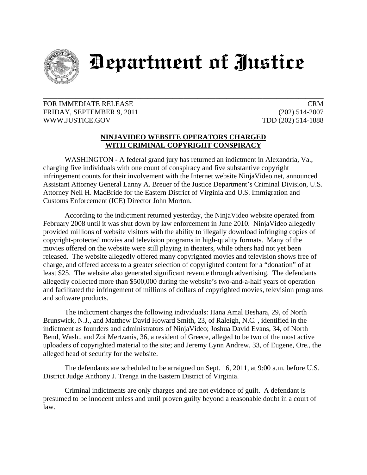

## Department of Justice

## FOR IMMEDIATE RELEASE CRM FRIDAY, SEPTEMBER 9, 2011 (202) 514-2007 WWW.JUSTICE.GOV TDD (202) 514-1888

## **NINJAVIDEO WEBSITE OPERATORS CHARGED WITH CRIMINAL COPYRIGHT CONSPIRACY**

\_\_\_\_\_\_\_\_\_\_\_\_\_\_\_\_\_\_\_\_\_\_\_\_\_\_\_\_\_\_\_\_\_\_\_\_\_\_\_\_\_\_\_\_\_\_\_\_\_\_\_\_\_\_\_\_\_\_\_\_\_\_\_\_\_\_\_\_\_\_\_\_\_\_\_\_\_\_

WASHINGTON - A federal grand jury has returned an indictment in Alexandria, Va., charging five individuals with one count of conspiracy and five substantive copyright infringement counts for their involvement with the Internet website NinjaVideo.net, announced Assistant Attorney General Lanny A. Breuer of the Justice Department's Criminal Division, U.S. Attorney Neil H. MacBride for the Eastern District of Virginia and U.S. Immigration and Customs Enforcement (ICE) Director John Morton.

 According to the indictment returned yesterday, the NinjaVideo website operated from February 2008 until it was shut down by law enforcement in June 2010. NinjaVideo allegedly provided millions of website visitors with the ability to illegally download infringing copies of copyright-protected movies and television programs in high-quality formats. Many of the movies offered on the website were still playing in theaters, while others had not yet been released. The website allegedly offered many copyrighted movies and television shows free of charge, and offered access to a greater selection of copyrighted content for a "donation" of at least \$25. The website also generated significant revenue through advertising. The defendants allegedly collected more than \$500,000 during the website's two-and-a-half years of operation and facilitated the infringement of millions of dollars of copyrighted movies, television programs and software products.

 The indictment charges the following individuals: Hana Amal Beshara, 29, of North Brunswick, N.J., and Matthew David Howard Smith, 23, of Raleigh, N.C. , identified in the indictment as founders and administrators of NinjaVideo; Joshua David Evans, 34, of North Bend, Wash., and Zoi Mertzanis, 36, a resident of Greece, alleged to be two of the most active uploaders of copyrighted material to the site; and Jeremy Lynn Andrew, 33, of Eugene, Ore., the alleged head of security for the website.

The defendants are scheduled to be arraigned on Sept. 16, 2011, at 9:00 a.m. before U.S. District Judge Anthony J. Trenga in the Eastern District of Virginia.

Criminal indictments are only charges and are not evidence of guilt. A defendant is presumed to be innocent unless and until proven guilty beyond a reasonable doubt in a court of law.